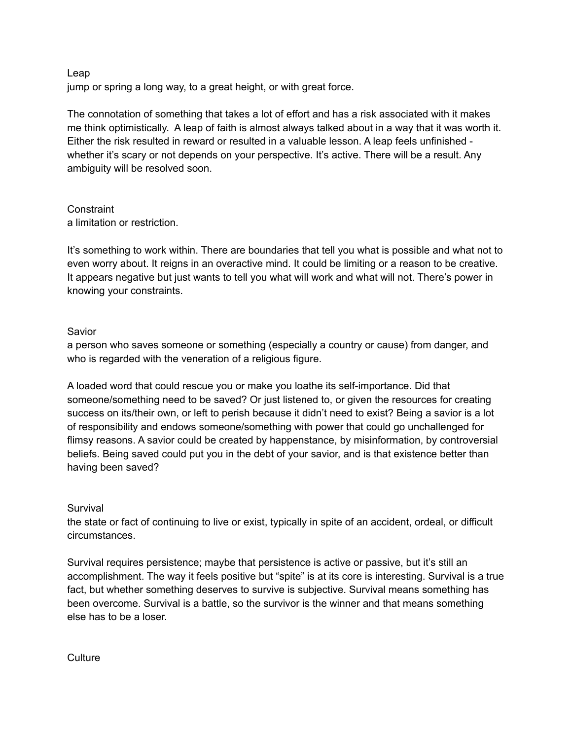#### Leap

jump or spring a long way, to a great height, or with great force.

The connotation of something that takes a lot of effort and has a risk associated with it makes me think optimistically. A leap of faith is almost always talked about in a way that it was worth it. Either the risk resulted in reward or resulted in a valuable lesson. A leap feels unfinished whether it's scary or not depends on your perspective. It's active. There will be a result. Any ambiguity will be resolved soon.

#### **Constraint** a limitation or restriction.

It's something to work within. There are boundaries that tell you what is possible and what not to even worry about. It reigns in an overactive mind. It could be limiting or a reason to be creative. It appears negative but just wants to tell you what will work and what will not. There's power in knowing your constraints.

# Savior

a person who saves someone or something (especially a country or cause) from danger, and who is regarded with the veneration of a religious figure.

A loaded word that could rescue you or make you loathe its self-importance. Did that someone/something need to be saved? Or just listened to, or given the resources for creating success on its/their own, or left to perish because it didn't need to exist? Being a savior is a lot of responsibility and endows someone/something with power that could go unchallenged for flimsy reasons. A savior could be created by happenstance, by misinformation, by controversial beliefs. Being saved could put you in the debt of your savior, and is that existence better than having been saved?

# Survival

the state or fact of continuing to live or exist, typically in spite of an accident, ordeal, or difficult circumstances.

Survival requires persistence; maybe that persistence is active or passive, but it's still an accomplishment. The way it feels positive but "spite" is at its core is interesting. Survival is a true fact, but whether something deserves to survive is subjective. Survival means something has been overcome. Survival is a battle, so the survivor is the winner and that means something else has to be a loser.

**Culture**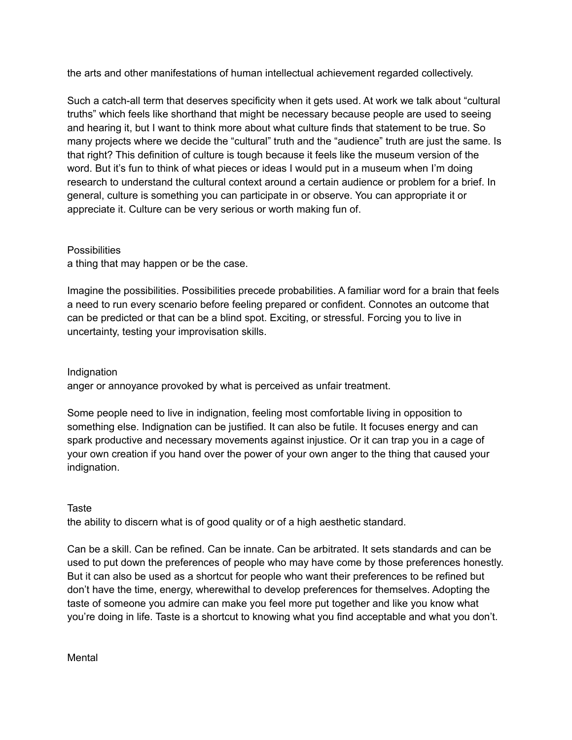the arts and other manifestations of human intellectual achievement regarded collectively.

Such a catch-all term that deserves specificity when it gets used. At work we talk about "cultural truths" which feels like shorthand that might be necessary because people are used to seeing and hearing it, but I want to think more about what culture finds that statement to be true. So many projects where we decide the "cultural" truth and the "audience" truth are just the same. Is that right? This definition of culture is tough because it feels like the museum version of the word. But it's fun to think of what pieces or ideas I would put in a museum when I'm doing research to understand the cultural context around a certain audience or problem for a brief. In general, culture is something you can participate in or observe. You can appropriate it or appreciate it. Culture can be very serious or worth making fun of.

# **Possibilities**

a thing that may happen or be the case.

Imagine the possibilities. Possibilities precede probabilities. A familiar word for a brain that feels a need to run every scenario before feeling prepared or confident. Connotes an outcome that can be predicted or that can be a blind spot. Exciting, or stressful. Forcing you to live in uncertainty, testing your improvisation skills.

# Indignation

anger or annoyance provoked by what is perceived as unfair treatment.

Some people need to live in indignation, feeling most comfortable living in opposition to something else. Indignation can be justified. It can also be futile. It focuses energy and can spark productive and necessary movements against injustice. Or it can trap you in a cage of your own creation if you hand over the power of your own anger to the thing that caused your indignation.

# **Taste**

the ability to discern what is of good quality or of a high aesthetic standard.

Can be a skill. Can be refined. Can be innate. Can be arbitrated. It sets standards and can be used to put down the preferences of people who may have come by those preferences honestly. But it can also be used as a shortcut for people who want their preferences to be refined but don't have the time, energy, wherewithal to develop preferences for themselves. Adopting the taste of someone you admire can make you feel more put together and like you know what you're doing in life. Taste is a shortcut to knowing what you find acceptable and what you don't.

**Mental**